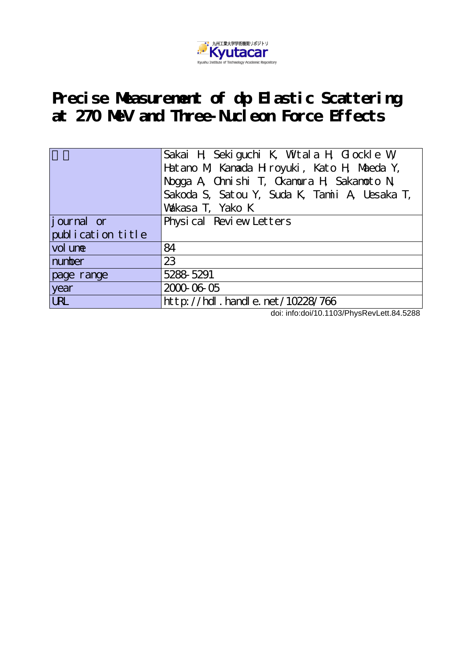

## **Precise Measurement of dp Elastic Scattering at 270 MeV and Three-Nucleon Force Effects**

|                   | Sakai H Sekiguchi K, Wtala H, Glockle W,<br>Hatano M, Kanada H royuki, Kato H, Maeda Y,<br>Nogga A, Chnishi T, Ckamura H, Sakanoto N<br>Sakoda S, Satou Y, Suda K, Tamii A, Uesaka T,<br>Vakasa T, Yako K |
|-------------------|-----------------------------------------------------------------------------------------------------------------------------------------------------------------------------------------------------------|
| journal or        | Physical Review Letters                                                                                                                                                                                   |
| publication title |                                                                                                                                                                                                           |
| vol une           | 84                                                                                                                                                                                                        |
| number            | 23                                                                                                                                                                                                        |
| page range        | 5288-5291                                                                                                                                                                                                 |
| year              | 2000-06-05                                                                                                                                                                                                |
| <b>URL</b>        | http://hdl.handle.net/10228/766                                                                                                                                                                           |

doi: info:doi/10.1103/PhysRevLett.84.5288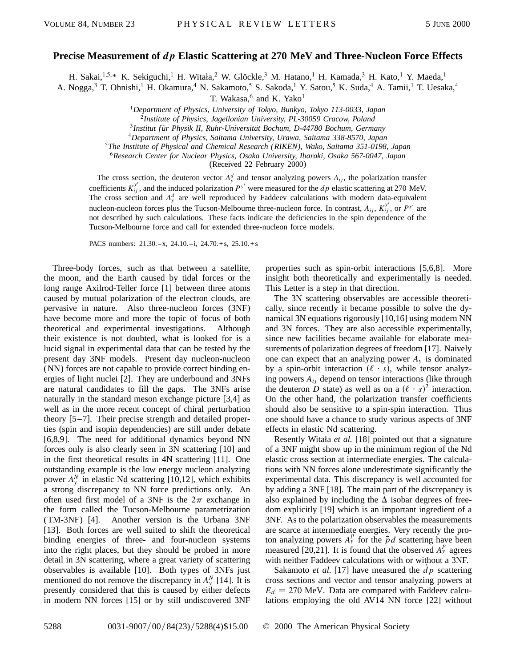## **Precise Measurement of** *dp* **Elastic Scattering at 270 MeV and Three-Nucleon Force Effects**

H. Sakai, <sup>1,5,\*</sup> K. Sekiguchi,<sup>1</sup> H. Witała,<sup>2</sup> W. Glöckle,<sup>3</sup> M. Hatano,<sup>1</sup> H. Kamada,<sup>3</sup> H. Kato,<sup>1</sup> Y. Maeda,<sup>1</sup>

A. Nogga,<sup>3</sup> T. Ohnishi,<sup>1</sup> H. Okamura,<sup>4</sup> N. Sakamoto,<sup>5</sup> S. Sakoda,<sup>1</sup> Y. Satou,<sup>5</sup> K. Suda,<sup>4</sup> A. Tamii,<sup>1</sup> T. Uesaka,<sup>4</sup>

T. Wakasa, $6$  and K. Yako<sup>1</sup>

<sup>1</sup>*Department of Physics, University of Tokyo, Bunkyo, Tokyo 113-0033, Japan*

<sup>4</sup>*Department of Physics, Saitama University, Urawa, Saitama 338-8570, Japan*

<sup>5</sup>*The Institute of Physical and Chemical Research (RIKEN), Wako, Saitama 351-0198, Japan*

<sup>6</sup>*Research Center for Nuclear Physics, Osaka University, Ibaraki, Osaka 567-0047, Japan*

(Received 22 February 2000)

The cross section, the deuteron vector  $A_y^d$  and tensor analyzing powers  $A_{ij}$ , the polarization transfer coefficients  $K^{y'}_{ij}$ , and the induced polarization  $P^{y'}$  were measured for the *dp* elastic scattering at 270 MeV. The cross section and  $A_y^d$  are well reproduced by Faddeev calculations with modern data-equivalent nucleon-nucleon forces plus the Tucson-Melbourne three-nucleon force. In contrast,  $A_{ij}$ ,  $K^{y'}_{ij}$ , or  $P^{y'}$  are not described by such calculations. These facts indicate the deficiencies in the spin dependence of the Tucson-Melbourne force and call for extended three-nucleon force models.

PACS numbers: 21.30.–x, 24.10.–i, 24.70.+s, 25.10.+s

Three-body forces, such as that between a satellite, the moon, and the Earth caused by tidal forces or the long range Axilrod-Teller force [1] between three atoms caused by mutual polarization of the electron clouds, are pervasive in nature. Also three-nucleon forces (3NF) have become more and more the topic of focus of both theoretical and experimental investigations. Although their existence is not doubted, what is looked for is a lucid signal in experimental data that can be tested by the present day 3NF models. Present day nucleon-nucleon (NN) forces are not capable to provide correct binding energies of light nuclei [2]. They are underbound and 3NFs are natural candidates to fill the gaps. The 3NFs arise naturally in the standard meson exchange picture [3,4] as well as in the more recent concept of chiral perturbation theory [5–7]. Their precise strength and detailed properties (spin and isopin dependencies) are still under debate [6,8,9]. The need for additional dynamics beyond NN forces only is also clearly seen in 3N scattering [10] and in the first theoretical results in 4N scattering [11]. One outstanding example is the low energy nucleon analyzing power  $A_y^N$  in elastic Nd scattering [10,12], which exhibits a strong discrepancy to NN force predictions only. An often used first model of a 3NF is the  $2\pi$  exchange in the form called the Tucson-Melbourne parametrization (TM-3NF) [4]. Another version is the Urbana 3NF [13]. Both forces are well suited to shift the theoretical binding energies of three- and four-nucleon systems into the right places, but they should be probed in more detail in 3N scattering, where a great variety of scattering observables is available [10]. Both types of 3NFs just mentioned do not remove the discrepancy in  $A_y^N$  [14]. It is presently considered that this is caused by either defects in modern NN forces [15] or by still undiscovered 3NF properties such as spin-orbit interactions [5,6,8]. More insight both theoretically and experimentally is needed. This Letter is a step in that direction.

The 3N scattering observables are accessible theoretically, since recently it became possible to solve the dynamical 3N equations rigorously [10,16] using modern NN and 3N forces. They are also accessible experimentally, since new facilities became available for elaborate measurements of polarization degrees of freedom [17]. Naively one can expect that an analyzing power  $A<sub>y</sub>$  is dominated by a spin-orbit interaction  $(\ell \cdot s)$ , while tensor analyzing powers *Aij* depend on tensor interactions (like through the deuteron *D* state) as well as on a  $(\ell \cdot s)^2$  interaction. On the other hand, the polarization transfer coefficients should also be sensitive to a spin-spin interaction. Thus one should have a chance to study various aspects of 3NF effects in elastic Nd scattering.

Resently Witała *et al.* [18] pointed out that a signature of a 3NF might show up in the minimum region of the Nd elastic cross section at intermediate energies. The calculations with NN forces alone underestimate significantly the experimental data. This discrepancy is well accounted for by adding a 3NF [18]. The main part of the discrepancy is also explained by including the  $\Delta$  isobar degrees of freedom explicitly [19] which is an important ingredient of a 3NF. As to the polarization observables the measurements are scarce at intermediate energies. Very recently the proton analyzing powers  $A_y^p$  for the  $\vec{p}d$  scattering have been measured [20,21]. It is found that the observed  $A_y^p$  agrees with neither Faddeev calculations with or without a 3NF.

Sakamoto *et al.* [17] have measured the *dp* scattering cross sections and vector and tensor analyzing powers at  $E_d = 270$  MeV. Data are compared with Faddeev calculations employing the old AV14 NN force [22] without

<sup>2</sup>*Institute of Physics, Jagellonian University, PL-30059 Cracow, Poland*

<sup>3</sup>*Institut für Physik II, Ruhr-Universität Bochum, D-44780 Bochum, Germany*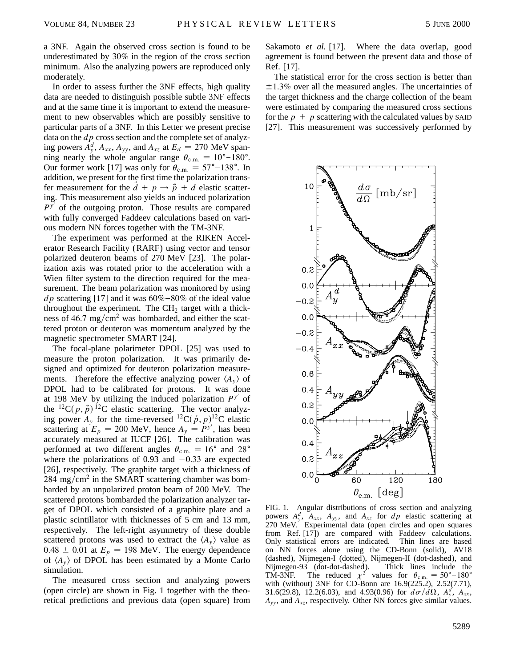a 3NF. Again the observed cross section is found to be underestimated by 30% in the region of the cross section minimum. Also the analyzing powers are reproduced only moderately.

In order to assess further the 3NF effects, high quality data are needed to distinguish possible subtle 3NF effects and at the same time it is important to extend the measurement to new observables which are possibly sensitive to particular parts of a 3NF. In this Letter we present precise data on the *dp* cross section and the complete set of analyzing powers  $A_y^d$ ,  $A_{xx}$ ,  $A_{yy}$ , and  $A_{xz}$  at  $E_d = 270$  MeV spanning nearly the whole angular range  $\theta_{\rm c.m.} = 10^{\circ} - 180^{\circ}$ . Our former work [17] was only for  $\theta_{\text{c.m.}} = 57^{\circ} - 138^{\circ}$ . In addition, we present for the first time the polarization transfer measurement for the  $d + p \rightarrow \vec{p} + d$  elastic scattering. This measurement also yields an induced polarization  $P^{y'}$  of the outgoing proton. Those results are compared with fully converged Faddeev calculations based on various modern NN forces together with the TM-3NF.

The experiment was performed at the RIKEN Accelerator Research Facility (RARF) using vector and tensor polarized deuteron beams of 270 MeV [23]. The polarization axis was rotated prior to the acceleration with a Wien filter system to the direction required for the measurement. The beam polarization was monitored by using *dp* scattering [17] and it was  $60\% - 80\%$  of the ideal value throughout the experiment. The  $CH<sub>2</sub>$  target with a thickness of 46.7 mg/cm<sup>2</sup> was bombarded, and either the scattered proton or deuteron was momentum analyzed by the magnetic spectrometer SMART [24].

The focal-plane polarimeter DPOL [25] was used to measure the proton polarization. It was primarily designed and optimized for deuteron polarization measurements. Therefore the effective analyzing power  $\langle A_{\nu} \rangle$  of DPOL had to be calibrated for protons. It was done at 198 MeV by utilizing the induced polarization  $P^{y'}$  of the  ${}^{12}C(p, \vec{p})$   ${}^{12}C$  elastic scattering. The vector analyzing power  $A_y$  for the time-reversed <sup>12</sup>C( $\vec{p}$ ,  $p$ )<sup>12</sup>C elastic scattering at  $E_p = 200$  MeV, hence  $A_y = P^{y'}$ , has been accurately measured at IUCF [26]. The calibration was performed at two different angles  $\theta_{\rm c.m.} = 16^{\circ}$  and 28<sup>o</sup> where the polarizations of 0.93 and  $-0.33$  are expected [26], respectively. The graphite target with a thickness of  $284 \text{ mg/cm}^2$  in the SMART scattering chamber was bombarded by an unpolarized proton beam of 200 MeV. The scattered protons bombarded the polarization analyzer target of DPOL which consisted of a graphite plate and a plastic scintillator with thicknesses of 5 cm and 13 mm, respectively. The left-right asymmetry of these double scattered protons was used to extract the  $\langle A_{v} \rangle$  value as  $0.48 \pm 0.01$  at  $E_p = 198$  MeV. The energy dependence of  $\langle A_{v} \rangle$  of DPOL has been estimated by a Monte Carlo simulation.

The measured cross section and analyzing powers (open circle) are shown in Fig. 1 together with the theoretical predictions and previous data (open square) from Sakamoto *et al.* [17]. Where the data overlap, good agreement is found between the present data and those of Ref. [17].

The statistical error for the cross section is better than  $\pm 1.3\%$  over all the measured angles. The uncertainties of the target thickness and the charge collection of the beam were estimated by comparing the measured cross sections for the  $p + p$  scattering with the calculated values by SAID [27]. This measurement was successively performed by



FIG. 1. Angular distributions of cross section and analyzing powers  $A_y^d$ ,  $A_{xx}$ ,  $A_{yy}$ , and  $A_{xz}$  for  $dp$  elastic scattering at 270 MeV. Experimental data (open circles and open squares from Ref. [17]) are compared with Faddeev calculations. Only statistical errors are indicated. Thin lines are based on NN forces alone using the CD-Bonn (solid), AV18 (dashed), Nijmegen-I (dotted), Nijmegen-II (dot-dashed), and Nijmegen-93 (dot-dot-dashed). Thick lines include the TM-3NF. The reduced  $\chi^2$  values for  $\theta_{\text{c.m.}} = 50^{\circ} - 180^{\circ}$ with (without) 3NF for CD-Bonn are 16.9(225.2), 2.52(7.71), 31.6(29.8), 12.2(6.03), and 4.93(0.96) for  $d\sigma/d\Omega$ ,  $A_y^d$ ,  $A_{xx}$ ,  $A_{yy}$ , and  $A_{xz}$ , respectively. Other NN forces give similar values.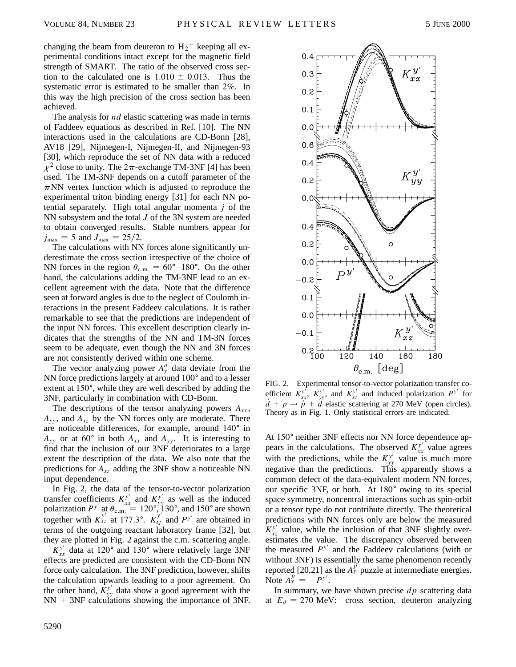changing the beam from deuteron to  $H_2^+$  keeping all experimental conditions intact except for the magnetic field strength of SMART. The ratio of the observed cross section to the calculated one is  $1.010 \pm 0.013$ . Thus the systematic error is estimated to be smaller than 2%. In this way the high precision of the cross section has been achieved.

The analysis for *nd* elastic scattering was made in terms of Faddeev equations as described in Ref. [10]. The NN interactions used in the calculations are CD-Bonn [28], AV18 [29], Nijmegen-I, Nijmegen-II, and Nijmegen-93 [30], which reproduce the set of NN data with a reduced  $\chi^2$  close to unity. The  $2\pi$ -exchange TM-3NF [4] has been used. The TM-3NF depends on a cutoff parameter of the  $\pi$ NN vertex function which is adjusted to reproduce the experimental triton binding energy [31] for each NN potential separately. High total angular momenta *j* of the NN subsystem and the total *J* of the 3N system are needed to obtain converged results. Stable numbers appear for  $j_{\text{max}} = 5$  and  $J_{\text{max}} = 25/2$ .

The calculations with NN forces alone significantly underestimate the cross section irrespective of the choice of NN forces in the region  $\theta_{\text{c.m.}} = 60^{\circ} - 180^{\circ}$ . On the other hand, the calculations adding the TM-3NF lead to an excellent agreement with the data. Note that the difference seen at forward angles is due to the neglect of Coulomb interactions in the present Faddeev calculations. It is rather remarkable to see that the predictions are independent of the input NN forces. This excellent description clearly indicates that the strengths of the NN and TM-3N forces seem to be adequate, even though the NN and 3N forces are not consistently derived within one scheme.

The vector analyzing power  $A_y^d$  data deviate from the NN force predictions largely at around 100° and to a lesser extent at  $150^\circ$ , while they are well described by adding the 3NF, particularly in combination with CD-Bonn.

The descriptions of the tensor analyzing powers  $A_{xx}$ ,  $A_{yy}$ , and  $A_{xz}$  by the NN forces only are moderate. There are noticeable differences, for example, around  $140^\circ$  in  $A_{yy}$  or at 60° in both  $A_{xx}$  and  $A_{yy}$ . It is interesting to find that the inclusion of our 3NF deteriorates to a large extent the description of the data. We also note that the predictions for *Axz* adding the 3NF show a noticeable NN input dependence.

In Fig. 2, the data of the tensor-to-vector polarization transfer coefficients  $K^{y'}_{xx}$  and  $K^{y'}_{yy}$  as well as the induced polarization  $P^{y'}$  at  $\theta_{\text{c.m.}} = 120^\circ$ , 130°, and 150° are shown together with  $K_{xz}^{y'}$  at 177.3°.  $K_{ij}^{y'}$  and  $P^{y'}$  are obtained in terms of the outgoing reactant laboratory frame [32], but they are plotted in Fig. 2 against the c.m. scattering angle.

 $K_{xx}^{y'}$  data at 120° and 130° where relatively large 3NF effects are predicted are consistent with the CD-Bonn NN force only calculation. The 3NF prediction, however, shifts the calculation upwards leading to a poor agreement. On the other hand,  $K^{y'}_{yy}$  data show a good agreement with the  $NN + 3NF$  calculations showing the importance of 3NF.



FIG. 2. Experimental tensor-to-vector polarization transfer coefficient  $K^{y'}_{xx}$ ,  $K^{y'}_{yy}$ , and  $K^{y'}_{xz}$  and induced polarization  $P^{y'}$  for  $\vec{d} + p \rightarrow \vec{p} + \vec{d}$  elastic scattering at 270 MeV (open circles). Theory as in Fig. 1. Only statistical errors are indicated.

At 150° neither 3NF effects nor NN force dependence appears in the calculations. The observed  $K_{xx}^{y'}$  value agrees with the predictions, while the  $K^{y'}_{yy}$  value is much more negative than the predictions. This apparently shows a common defect of the data-equivalent modern NN forces, our specific 3NF, or both. At 180° owing to its special space symmetry, noncentral interactions such as spin-orbit or a tensor type do not contribute directly. The theoretical predictions with NN forces only are below the measured  $K_{xz}^{y'}$  value, while the inclusion of that 3NF slightly overestimates the value. The discrepancy observed between the measured  $P<sup>y'</sup>$  and the Faddeev calculations (with or without 3NF) is essentially the same phenomenon recently reported  $[20,21]$  as the  $A_y^p$  puzzle at intermediate energies. Note  $A_y^p = -P^{y'}$ .

In summary, we have shown precise *dp* scattering data at  $E_d = 270$  MeV: cross section, deuteron analyzing